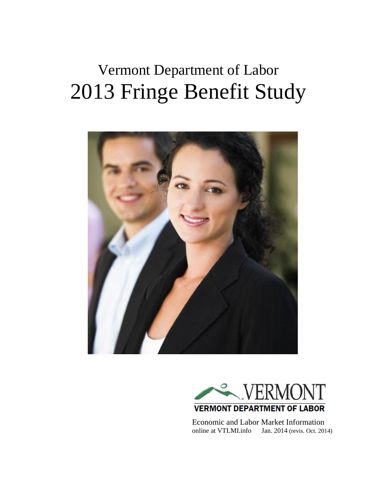# Vermont Department of Labor 2013 Fringe Benefit Study





 Economic and Labor Market Information online at VTLMI.info Jan. 2014 (revis. Oct. 2014)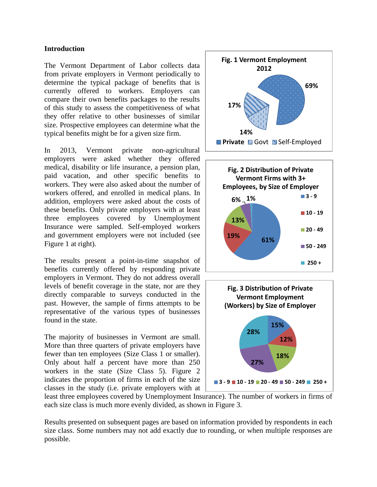#### **Introduction**

The Vermont Department of Labor collects data from private employers in Vermont periodically to determine the typical package of benefits that is currently offered to workers. Employers can compare their own benefits packages to the results of this study to assess the competitiveness of what they offer relative to other businesses of similar size. Prospective employees can determine what the typical benefits might be for a given size firm.

In 2013, Vermont private non-agricultural employers were asked whether they offered medical, disability or life insurance, a pension plan, paid vacation, and other specific benefits to workers. They were also asked about the number of workers offered, and enrolled in medical plans. In addition, employers were asked about the costs of these benefits. Only private employers with at least three employees covered by Unemployment Insurance were sampled. Self-employed workers and government employers were not included (see Figure 1 at right).

The results present a point-in-time snapshot of benefits currently offered by responding private employers in Vermont. They do not address overall levels of benefit coverage in the state, nor are they directly comparable to surveys conducted in the past. However, the sample of firms attempts to be representative of the various types of businesses found in the state.

The majority of businesses in Vermont are small. More than three quarters of private employers have fewer than ten employees (Size Class 1 or smaller). Only about half a percent have more than 250 workers in the state (Size Class 5). Figure 2 indicates the proportion of firms in each of the size classes in the study (i.e. private employers with at







least three employees covered by Unemployment Insurance). The number of workers in firms of each size class is much more evenly divided, as shown in Figure 3.

Results presented on subsequent pages are based on information provided by respondents in each size class. Some numbers may not add exactly due to rounding, or when multiple responses are possible.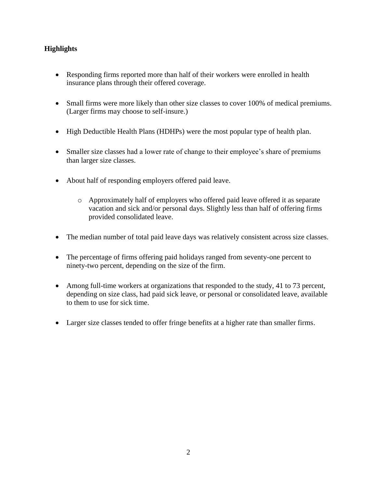### **Highlights**

- Responding firms reported more than half of their workers were enrolled in health insurance plans through their offered coverage.
- Small firms were more likely than other size classes to cover 100% of medical premiums. (Larger firms may choose to self-insure.)
- High Deductible Health Plans (HDHPs) were the most popular type of health plan.
- Smaller size classes had a lower rate of change to their employee's share of premiums than larger size classes.
- About half of responding employers offered paid leave.
	- o Approximately half of employers who offered paid leave offered it as separate vacation and sick and/or personal days. Slightly less than half of offering firms provided consolidated leave.
- The median number of total paid leave days was relatively consistent across size classes.
- The percentage of firms offering paid holidays ranged from seventy-one percent to ninety-two percent, depending on the size of the firm.
- Among full-time workers at organizations that responded to the study, 41 to 73 percent, depending on size class, had paid sick leave, or personal or consolidated leave, available to them to use for sick time.
- Larger size classes tended to offer fringe benefits at a higher rate than smaller firms.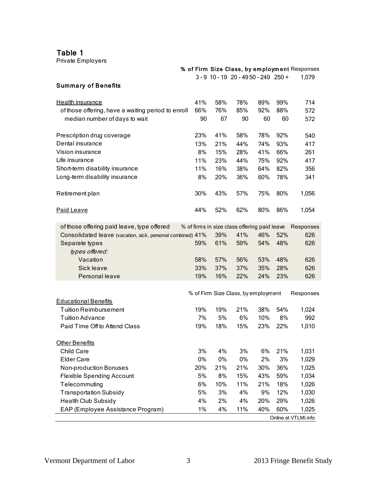Table 1

| Table 1<br>Private Employers                               |     |     |                                              |     |     |                                               |
|------------------------------------------------------------|-----|-----|----------------------------------------------|-----|-----|-----------------------------------------------|
|                                                            |     |     |                                              |     |     | % of Firm Size Class, by employment Responses |
|                                                            |     |     | 3-9 10-19 20-4950-249 250+                   |     |     | 1,079                                         |
| <b>Summary of Benefits</b>                                 |     |     |                                              |     |     |                                               |
| Health insurance                                           | 41% | 58% | 78%                                          | 89% | 99% | 714                                           |
| of those offering, have a waiting period to enroll         | 66% | 76% | 85%                                          | 92% | 88% | 572                                           |
| median number of days to wait                              | 90  | 67  | 90                                           | 60  | 60  | 572                                           |
| Prescription drug coverage                                 | 23% | 41% | 58%                                          | 78% | 92% | 540                                           |
| Dental insurance                                           | 13% | 21% | 44%                                          | 74% | 93% | 417                                           |
| Vision insurance                                           | 8%  | 15% | 28%                                          | 41% | 66% | 261                                           |
| Life insurance                                             | 11% | 23% | 44%                                          | 75% | 92% | 417                                           |
| Short-term disability insurance                            | 11% | 16% | 38%                                          | 64% | 82% | 356                                           |
| Long-term disability insurance                             | 8%  | 20% | 36%                                          | 60% | 78% | 341                                           |
| Retirement plan                                            | 30% | 43% | 57%                                          | 75% | 80% | 1,056                                         |
| Paid Leave                                                 | 44% | 52% | 62%                                          | 80% | 86% | 1,054                                         |
| of those offering paid leave, type offered                 |     |     | % of firms in size class offering paid leave |     |     | Responses                                     |
| Consolidated leave (vacation, sick, personal combined) 41% |     | 39% | 41%                                          | 46% | 52% | 626                                           |
| Separate types<br>types offered:                           | 59% | 61% | 59%                                          | 54% | 48% | 626                                           |
| Vacation                                                   | 58% | 57% | 56%                                          | 53% | 48% | 626                                           |
| Sick leave                                                 | 33% | 37% | 37%                                          | 35% | 28% | 626                                           |
| Personal leave                                             | 19% | 16% | 22%                                          | 24% | 23% | 626                                           |
|                                                            |     |     |                                              |     |     |                                               |
| <b>Educational Benefits</b>                                |     |     | % of Firm Size Class, by employment          |     |     | Responses                                     |
| <b>Tuition Reimbursement</b>                               | 19% | 19% | 21%                                          | 38% | 54% | 1,024                                         |
| <b>Tuition Advance</b>                                     | 7%  | 5%  | 6%                                           | 10% | 8%  | 992                                           |
| Paid Time Off to Attend Class                              | 19% | 18% | 15%                                          | 23% | 22% | 1,010                                         |
|                                                            |     |     |                                              |     |     |                                               |
| Other Benefits                                             |     |     |                                              |     |     |                                               |
| Child Care                                                 | 3%  | 4%  | 3%                                           | 6%  | 21% | 1,031                                         |
| <b>Elder Care</b>                                          | 0%  | 0%  | 0%                                           | 2%  | 3%  | 1,029                                         |
| Non-production Bonuses                                     | 20% | 21% | 21%                                          | 30% | 36% | 1,025                                         |
| <b>Flexible Spending Account</b>                           | 5%  | 8%  | 15%                                          | 43% | 59% | 1,034                                         |
| Telecommuting                                              | 6%  | 10% | 11%                                          | 21% | 18% | 1,026                                         |
| <b>Transportation Subsidy</b>                              | 5%  | 3%  | 4%                                           | 9%  | 12% | 1,030                                         |
| <b>Health Club Subsidy</b>                                 | 4%  | 2%  | 4%                                           | 20% | 29% | 1,026                                         |
| EAP (Employee Assistance Program)                          | 1%  | 4%  | 11%                                          | 40% | 60% | 1,025                                         |
|                                                            |     |     |                                              |     |     | Online at VTLMI.info                          |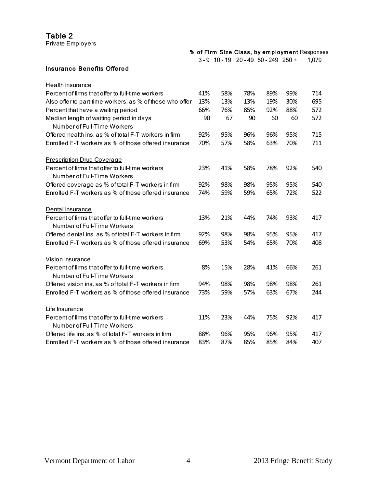Private Employers

|  |  |                                              | % of Firm Size Class, by employment Responses |
|--|--|----------------------------------------------|-----------------------------------------------|
|  |  | $3 - 9$ 10 - 19 20 - 49 50 - 249 250 + 1,079 |                                               |

#### Insura nce Be ne fits Offe re d

| Health Insurance                                                                |     |     |     |     |     |     |
|---------------------------------------------------------------------------------|-----|-----|-----|-----|-----|-----|
| Percent of firms that offer to full-time workers                                | 41% | 58% | 78% | 89% | 99% | 714 |
| Also offer to part-time workers, as % of those who offer                        | 13% | 13% | 13% | 19% | 30% | 695 |
| Percent that have a waiting period                                              | 66% | 76% | 85% | 92% | 88% | 572 |
| Median length of waiting period in days<br>Number of Full-Time Workers          | 90  | 67  | 90  | 60  | 60  | 572 |
| Offered health ins. as % of total F-T workers in firm                           | 92% | 95% | 96% | 96% | 95% | 715 |
| Enrolled F-T workers as % of those offered insurance                            | 70% | 57% | 58% | 63% | 70% | 711 |
| <b>Prescription Drug Coverage</b>                                               |     |     |     |     |     |     |
| Percent of firms that offer to full-time workers<br>Number of Full-Time Workers | 23% | 41% | 58% | 78% | 92% | 540 |
| Offered coverage as % of total F-T workers in firm                              | 92% | 98% | 98% | 95% | 95% | 540 |
| Enrolled F-T workers as % of those offered insurance                            | 74% | 59% | 59% | 65% | 72% | 522 |
| Dental Insurance                                                                |     |     |     |     |     |     |
| Percent of firms that offer to full-time workers<br>Number of Full-Time Workers | 13% | 21% | 44% | 74% | 93% | 417 |
| Offered dental ins, as % of total F-T workers in firm                           | 92% | 98% | 98% | 95% | 95% | 417 |
| Enrolled F-T workers as % of those offered insurance                            | 69% | 53% | 54% | 65% | 70% | 408 |
| Vision Insurance                                                                |     |     |     |     |     |     |
| Percent of firms that offer to full-time workers<br>Number of Full-Time Workers | 8%  | 15% | 28% | 41% | 66% | 261 |
| Offered vision ins. as % of total F-T workers in firm                           | 94% | 98% | 98% | 98% | 98% | 261 |
| Enrolled F-T workers as % of those offered insurance                            | 73% | 59% | 57% | 63% | 67% | 244 |
| Life Insurance                                                                  |     |     |     |     |     |     |
| Percent of firms that offer to full-time workers                                | 11% | 23% | 44% | 75% | 92% | 417 |
| Number of Full-Time Workers                                                     |     |     |     |     |     |     |
| Offered life ins. as % of total F-T workers in firm                             | 88% | 96% | 95% | 96% | 95% | 417 |
| Enrolled F-T workers as % of those offered insurance                            | 83% | 87% | 85% | 85% | 84% | 407 |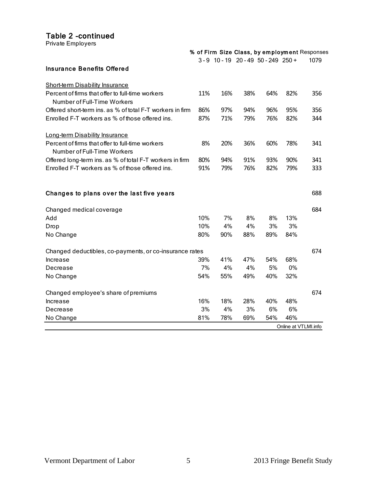#### Table 2 -continued

|                                                           |                                                                                                                     |                                                           |                                                           |                                                           | 1079                                                                                                                                                       |
|-----------------------------------------------------------|---------------------------------------------------------------------------------------------------------------------|-----------------------------------------------------------|-----------------------------------------------------------|-----------------------------------------------------------|------------------------------------------------------------------------------------------------------------------------------------------------------------|
|                                                           |                                                                                                                     |                                                           |                                                           |                                                           |                                                                                                                                                            |
|                                                           |                                                                                                                     |                                                           |                                                           |                                                           |                                                                                                                                                            |
|                                                           |                                                                                                                     |                                                           |                                                           |                                                           | 356                                                                                                                                                        |
|                                                           |                                                                                                                     |                                                           |                                                           |                                                           |                                                                                                                                                            |
|                                                           |                                                                                                                     |                                                           |                                                           |                                                           | 356                                                                                                                                                        |
| 87%                                                       | 71%                                                                                                                 | 79%                                                       | 76%                                                       | 82%                                                       | 344                                                                                                                                                        |
|                                                           |                                                                                                                     |                                                           |                                                           |                                                           |                                                                                                                                                            |
|                                                           |                                                                                                                     |                                                           |                                                           |                                                           | 341                                                                                                                                                        |
|                                                           |                                                                                                                     |                                                           |                                                           |                                                           |                                                                                                                                                            |
|                                                           |                                                                                                                     |                                                           |                                                           |                                                           | 341                                                                                                                                                        |
|                                                           |                                                                                                                     |                                                           |                                                           |                                                           | 333                                                                                                                                                        |
|                                                           |                                                                                                                     |                                                           |                                                           |                                                           |                                                                                                                                                            |
|                                                           |                                                                                                                     |                                                           |                                                           |                                                           | 688                                                                                                                                                        |
|                                                           |                                                                                                                     |                                                           |                                                           |                                                           | 684                                                                                                                                                        |
| 10%                                                       | 7%                                                                                                                  | 8%                                                        | 8%                                                        | 13%                                                       |                                                                                                                                                            |
| 10%                                                       | 4%                                                                                                                  | 4%                                                        | 3%                                                        | 3%                                                        |                                                                                                                                                            |
| 80%                                                       | 90%                                                                                                                 | 88%                                                       | 89%                                                       | 84%                                                       |                                                                                                                                                            |
|                                                           |                                                                                                                     |                                                           |                                                           |                                                           | 674                                                                                                                                                        |
| 39%                                                       | 41%                                                                                                                 | 47%                                                       | 54%                                                       | 68%                                                       |                                                                                                                                                            |
|                                                           |                                                                                                                     |                                                           |                                                           |                                                           |                                                                                                                                                            |
| 54%                                                       | 55%                                                                                                                 | 49%                                                       | 40%                                                       | 32%                                                       |                                                                                                                                                            |
|                                                           |                                                                                                                     |                                                           |                                                           |                                                           | 674                                                                                                                                                        |
|                                                           |                                                                                                                     |                                                           |                                                           |                                                           |                                                                                                                                                            |
|                                                           |                                                                                                                     |                                                           |                                                           |                                                           |                                                                                                                                                            |
|                                                           |                                                                                                                     |                                                           |                                                           | 46%                                                       |                                                                                                                                                            |
|                                                           |                                                                                                                     |                                                           |                                                           |                                                           |                                                                                                                                                            |
| Offered short-term ins. as % of total F-T workers in firm | 11%<br>86%<br>8%<br>80%<br>91%<br>Changed deductibles, co-payments, or co-insurance rates<br>7%<br>16%<br>3%<br>81% | 16%<br>97%<br>20%<br>94%<br>79%<br>4%<br>18%<br>4%<br>78% | 38%<br>94%<br>36%<br>91%<br>76%<br>4%<br>28%<br>3%<br>69% | 64%<br>96%<br>60%<br>93%<br>82%<br>5%<br>40%<br>6%<br>54% | % of Firm Size Class, by employment Responses<br>3-9 10-19 20-49 50-249 250+<br>82%<br>95%<br>78%<br>90%<br>79%<br>0%<br>48%<br>6%<br>Online at VTLMI.info |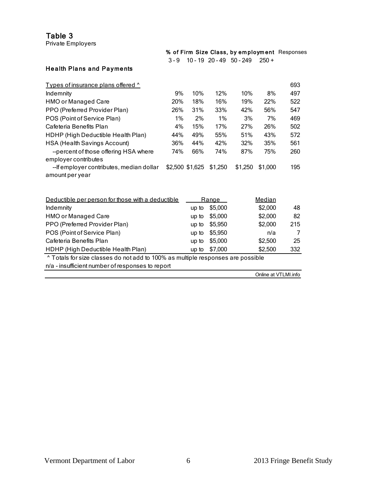Private Employers

|  |                                        | % of Firm Size Class, by employment Responses |
|--|----------------------------------------|-----------------------------------------------|
|  | $3 - 9$ 10 - 19 20 - 49 50 - 249 250 + |                                               |
|  |                                        |                                               |

## Health Plans and Payments

| Types of insurance plans offered ^                                              |       |                 |              |            |                      | 693 |
|---------------------------------------------------------------------------------|-------|-----------------|--------------|------------|----------------------|-----|
| Indemnity                                                                       | 9%    | 10%             | 12%          | 10%        | 8%                   | 497 |
| <b>HMO or Managed Care</b>                                                      | 20%   | 18%             | 16%          | 19%        | 22%                  | 522 |
| PPO (Preferred Provider Plan)                                                   | 26%   | 31%             | 33%          | 42%        | 56%                  | 547 |
| POS (Point of Service Plan)                                                     | $1\%$ | 2%              | 1%           | 3%         | 7%                   | 469 |
| Cafeteria Benefits Plan                                                         | 4%    | 15%             | 17%          | <b>27%</b> | 26%                  | 502 |
| HDHP (High Deductible Health Plan)                                              | 44%   | 49%             | 55%          | 51%        | 43%                  | 572 |
| <b>HSA (Health Savings Account)</b>                                             | 36%   | 44%             | 42%          | 32%        | 35%                  | 561 |
| --percent of those offering HSA where                                           | 74%   | 66%             | 74%          | 87%        | 75%                  | 260 |
| employer contributes                                                            |       |                 |              |            |                      |     |
| --If employer contributes, median dollar                                        |       | \$2,500 \$1,625 | \$1,250      | \$1,250    | \$1,000              | 195 |
| amount per year                                                                 |       |                 |              |            |                      |     |
|                                                                                 |       |                 |              |            |                      |     |
| Deductible per person for those with a deductible                               |       |                 |              |            | Median               |     |
|                                                                                 |       |                 | <u>Range</u> |            | \$2,000              | 48  |
| Indemnity                                                                       |       | up to           | \$5,000      |            |                      |     |
| <b>HMO or Managed Care</b>                                                      |       | up to           | \$5,000      |            | \$2,000              | 82  |
| PPO (Preferred Provider Plan)                                                   |       | up to           | \$5,950      |            | \$2,000              | 215 |
| POS (Point of Service Plan)                                                     |       | up to           | \$5,950      |            | n/a                  | 7   |
| Cafeteria Benefits Plan                                                         |       | up to           | \$5,000      |            | \$2,500              | 25  |
| HDHP (High Deductible Health Plan)                                              |       | up to           | \$7,000      |            | \$2,500              | 332 |
| ^ Totals for size classes do not add to 100% as multiple responses are possible |       |                 |              |            |                      |     |
| n/a - insufficient number of responses to report                                |       |                 |              |            |                      |     |
|                                                                                 |       |                 |              |            | Online at VTLMI.info |     |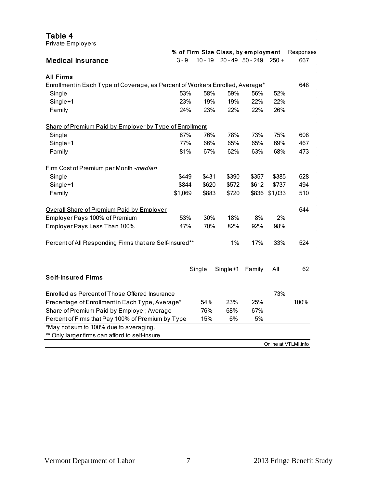| Table 4<br>Private Employers                                                         |         |           |       |                                     |         |           |
|--------------------------------------------------------------------------------------|---------|-----------|-------|-------------------------------------|---------|-----------|
|                                                                                      |         |           |       | % of Firm Size Class, by employment |         | Responses |
| <b>Medical Insurance</b>                                                             | $3 - 9$ | $10 - 19$ |       | $20 - 49$ 50 - 249 250 +            |         | 667       |
| <b>All Firms</b>                                                                     |         |           |       |                                     |         |           |
| <b>Enrollment in Each Type of Coverage, as Percent of Workers Enrolled, Average*</b> |         |           |       |                                     |         | 648       |
| Single                                                                               | 53%     | 58%       | 59%   | 56%                                 | 52%     |           |
| Single+1                                                                             | 23%     | 19%       | 19%   | 22%                                 | 22%     |           |
| Family                                                                               | 24%     | 23%       | 22%   | 22%                                 | 26%     |           |
| Share of Premium Paid by Employer by Type of Enrollment                              |         |           |       |                                     |         |           |
| Single                                                                               | 87%     | 76%       | 78%   | 73%                                 | 75%     | 608       |
| Single+1                                                                             | 77%     | 66%       | 65%   | 65%                                 | 69%     | 467       |
| Family                                                                               | 81%     | 67%       | 62%   | 63%                                 | 68%     | 473       |
| Firm Cost of Premium per Month -median                                               |         |           |       |                                     |         |           |
| Single                                                                               | \$449   | \$431     | \$390 | \$357                               | \$385   | 628       |
| Single+1                                                                             | \$844   | \$620     | \$572 | \$612                               | \$737   | 494       |
| Family                                                                               | \$1,069 | \$883     | \$720 | \$836                               | \$1,033 | 510       |
| <b>Overall Share of Premium Paid by Employer</b>                                     |         |           |       |                                     |         | 644       |
| Employer Pays 100% of Premium                                                        | 53%     | 30%       | 18%   | 8%                                  | 2%      |           |
| Employer Pays Less Than 100%                                                         | 47%     | 70%       | 82%   | 92%                                 | 98%     |           |

|                                                   | Single | Single+1 | Family | All                  | 62   |
|---------------------------------------------------|--------|----------|--------|----------------------|------|
| <b>Self-Insured Firms</b>                         |        |          |        |                      |      |
| Enrolled as Percent of Those Offered Insurance    |        |          |        | 73%                  |      |
| Precentage of Enrollment in Each Type, Average*   | 54%    | 23%      | 25%    |                      | 100% |
| Share of Premium Paid by Employer, Average        | 76%    | 68%      | 67%    |                      |      |
| Percent of Firms that Pay 100% of Premium by Type | 15%    | 6%       | 5%     |                      |      |
| *May not sum to 100% due to averaging.            |        |          |        |                      |      |
| ** Only larger firms can afford to self-insure.   |        |          |        |                      |      |
|                                                   |        |          |        | Online at VTLMI info |      |

Percent of All Responding Firms that are Self-Insured\*\* 1% 17% 33% 524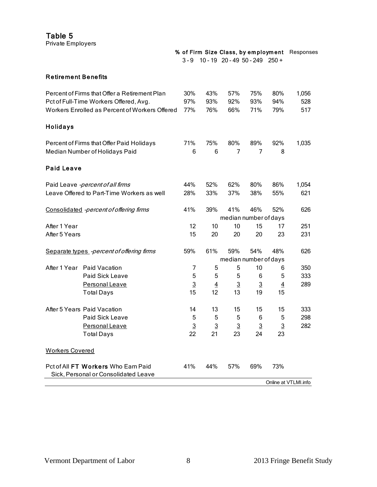| Table 5<br>Private Employers |                                                                                          |                      |                      |                      |                             |                      |                                               |
|------------------------------|------------------------------------------------------------------------------------------|----------------------|----------------------|----------------------|-----------------------------|----------------------|-----------------------------------------------|
|                              |                                                                                          |                      |                      |                      |                             |                      | % of Firm Size Class, by employment Responses |
|                              |                                                                                          |                      |                      |                      | 3-9 10-19 20-49 50-249 250+ |                      |                                               |
| <b>Retirement Benefits</b>   |                                                                                          |                      |                      |                      |                             |                      |                                               |
|                              | Percent of Firms that Offer a Retirement Plan                                            | 30%                  | 43%                  | 57%                  | 75%                         | 80%                  | 1,056                                         |
|                              | Pct of Full-Time Workers Offered, Avg.<br>Workers Enrolled as Percent of Workers Offered | 97%<br>77%           | 93%<br>76%           | 92%<br>66%           | 93%<br>71%                  | 94%<br>79%           | 528<br>517                                    |
| Holidays                     |                                                                                          |                      |                      |                      |                             |                      |                                               |
|                              | Percent of Firms that Offer Paid Holidays                                                | 71%                  | 75%                  | 80%                  | 89%                         | 92%                  | 1,035                                         |
|                              | Median Number of Holidays Paid                                                           | 6                    | 6                    | 7                    | 7                           | 8                    |                                               |
| <b>Paid Leave</b>            |                                                                                          |                      |                      |                      |                             |                      |                                               |
|                              | Paid Leave -percent of all firms                                                         | 44%                  | 52%                  | 62%                  | 80%                         | 86%                  | 1,054                                         |
|                              | Leave Offered to Part-Time Workers as well                                               | 28%                  | 33%                  | 37%                  | 38%                         | 55%                  | 621                                           |
|                              | Consolidated -percent of offering firms                                                  | 41%                  | 39%                  | 41%                  | 46%                         | 52%                  | 626                                           |
|                              |                                                                                          |                      |                      |                      | median number of days       |                      |                                               |
| After 1 Year                 |                                                                                          | 12                   | 10                   | 10                   | 15                          | 17                   | 251                                           |
| After 5 Years                |                                                                                          | 15                   | 20                   | 20                   | 20                          | 23                   | 231                                           |
|                              | Separate types -percent of offering firms                                                | 59%                  | 61%                  | 59%                  | 54%                         | 48%                  | 626                                           |
|                              |                                                                                          |                      |                      |                      | median number of days       |                      |                                               |
|                              | After 1 Year Paid Vacation                                                               | 7                    | 5                    | 5                    | 10                          | 6                    | 350                                           |
|                              | Paid Sick Leave                                                                          | 5                    | 5                    | 5                    | 6                           | 5                    | 333                                           |
|                              | Personal Leave                                                                           | $\overline{3}$<br>15 | $\overline{4}$<br>12 | $\overline{3}$<br>13 | $\overline{3}$              | $\overline{4}$<br>15 | 289                                           |
|                              | <b>Total Days</b>                                                                        |                      |                      |                      | 19                          |                      |                                               |
|                              | After 5 Years Paid Vacation                                                              | 14                   | 13                   | 15                   | 15                          | 15                   | 333                                           |
|                              | Paid Sick Leave                                                                          | 5                    | 5                    | 5                    | 6                           | 5                    | 298                                           |
|                              | Personal Leave                                                                           | $\overline{3}$       | $\overline{3}$       | $\overline{3}$       | $\overline{3}$              | $\overline{3}$       | 282                                           |
|                              | <b>Total Days</b>                                                                        | 22                   | 21                   | 23                   | 24                          | 23                   |                                               |
| <b>Workers Covered</b>       |                                                                                          |                      |                      |                      |                             |                      |                                               |
|                              | Pct of All FT Workers Who Earn Paid<br>Sick, Personal or Consolidated Leave              | 41%                  | 44%                  | 57%                  | 69%                         | 73%                  |                                               |

Online at VTLMI.info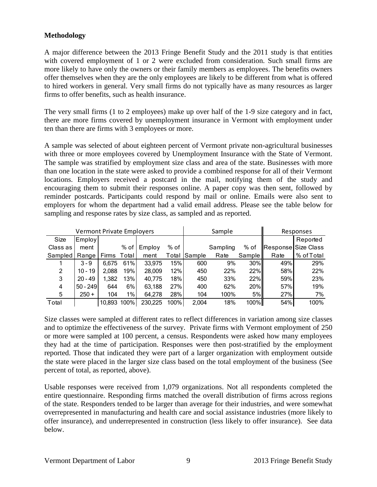### **Methodology**

A major difference between the 2013 Fringe Benefit Study and the 2011 study is that entities with covered employment of 1 or 2 were excluded from consideration. Such small firms are more likely to have only the owners or their family members as employees. The benefits owners offer themselves when they are the only employees are likely to be different from what is offered to hired workers in general. Very small firms do not typically have as many resources as larger firms to offer benefits, such as health insurance.

The very small firms (1 to 2 employees) make up over half of the 1-9 size category and in fact, there are more firms covered by unemployment insurance in Vermont with employment under ten than there are firms with 3 employees or more.

A sample was selected of about eighteen percent of Vermont private non-agricultural businesses with three or more employees covered by Unemployment Insurance with the State of Vermont. The sample was stratified by employment size class and area of the state. Businesses with more than one location in the state were asked to provide a combined response for all of their Vermont locations. Employers received a postcard in the mail, notifying them of the study and encouraging them to submit their responses online. A paper copy was then sent, followed by reminder postcards. Participants could respond by mail or online. Emails were also sent to employers for whom the department had a valid email address. Please see the table below for sampling and response rates by size class, as sampled and as reported.

|          | <b>Vermont Private Employers</b> |              |                    |         |       |               | Sample   |        |      | Responses           |
|----------|----------------------------------|--------------|--------------------|---------|-------|---------------|----------|--------|------|---------------------|
| Size     | Employ                           |              |                    |         |       |               |          |        |      | Reported            |
| Class as | ment                             |              | % of               | Employ  | % of  |               | Sampling | % of   |      | Response Size Class |
| Sampled  | Range                            | <b>Firms</b> | Total <sup>'</sup> | ment    | Total | <b>Sample</b> | Rate     | Sample | Rate | % of Total          |
|          | $3 - 9$                          | 6.675        | 61%                | 33,975  | 15%   | 600           | 9%       | $30\%$ | 49%  | 29%                 |
| 2        | $10 - 19$                        | 2,088        | 19%                | 28,009  | 12%   | 450           | 22%      | 22%    | 58%  | 22%                 |
| 3        | $20 - 49$                        | 1,382        | 13%                | 40,775  | 18%   | 450           | 33%      | 22%    | 59%  | 23%                 |
| 4        | $50 - 249$                       | 644          | 6%                 | 63,188  | 27%   | 400           | 62%      | 20%    | 57%  | 19%                 |
| 5        | $250 +$                          | 104          | $1\%$              | 64,278  | 28%   | 104           | 100%     | 5%     | 27%  | 7%                  |
| Total    |                                  | 10.893       | 100%               | 230,225 | 100%  | 2,004         | 18%      | 100%   | 54%  | 100%                |

Size classes were sampled at different rates to reflect differences in variation among size classes and to optimize the effectiveness of the survey. Private firms with Vermont employment of 250 or more were sampled at 100 percent, a census. Respondents were asked how many employees they had at the time of participation. Responses were then post-stratified by the employment reported. Those that indicated they were part of a larger organization with employment outside the state were placed in the larger size class based on the total employment of the business (See percent of total, as reported, above).

Usable responses were received from 1,079 organizations. Not all respondents completed the entire questionnaire. Responding firms matched the overall distribution of firms across regions of the state. Responders tended to be larger than average for their industries, and were somewhat overrepresented in manufacturing and health care and social assistance industries (more likely to offer insurance), and underrepresented in construction (less likely to offer insurance). See data below.